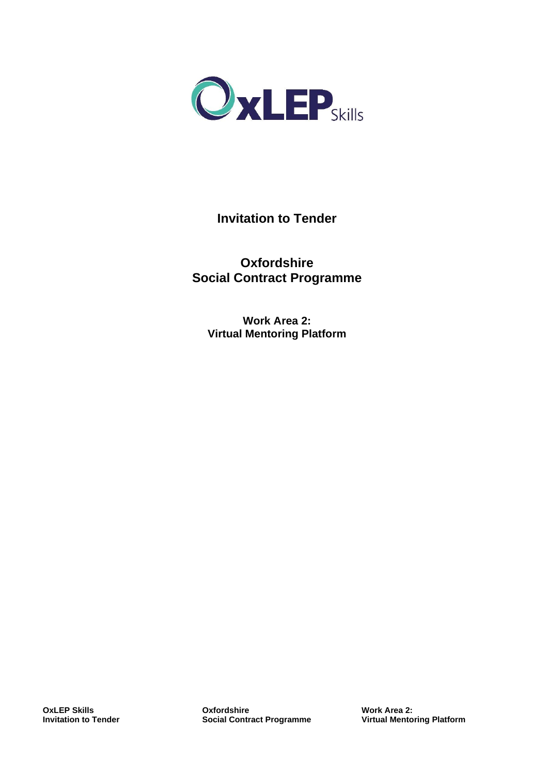

# **Invitation to Tender**

**Oxfordshire Social Contract Programme**

**Work Area 2: Virtual Mentoring Platform**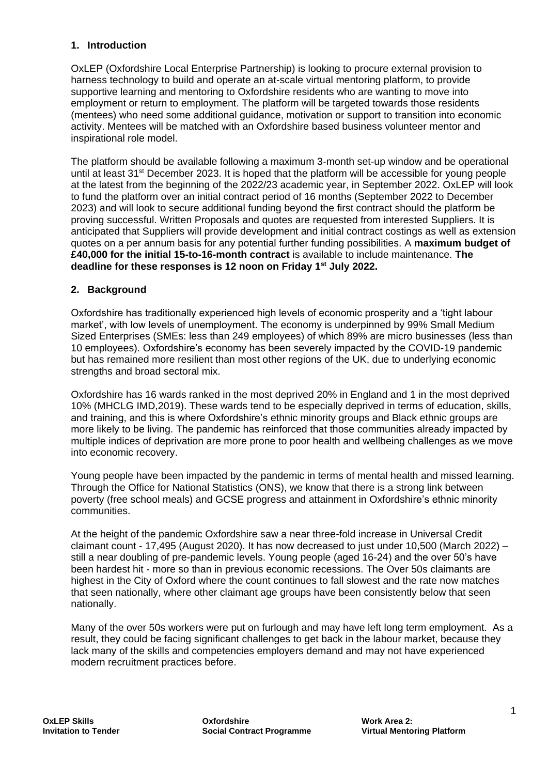#### **1. Introduction**

OxLEP (Oxfordshire Local Enterprise Partnership) is looking to procure external provision to harness technology to build and operate an at-scale virtual mentoring platform, to provide supportive learning and mentoring to Oxfordshire residents who are wanting to move into employment or return to employment. The platform will be targeted towards those residents (mentees) who need some additional guidance, motivation or support to transition into economic activity. Mentees will be matched with an Oxfordshire based business volunteer mentor and inspirational role model.

The platform should be available following a maximum 3-month set-up window and be operational until at least 31<sup>st</sup> December 2023. It is hoped that the platform will be accessible for young people at the latest from the beginning of the 2022/23 academic year, in September 2022. OxLEP will look to fund the platform over an initial contract period of 16 months (September 2022 to December 2023) and will look to secure additional funding beyond the first contract should the platform be proving successful. Written Proposals and quotes are requested from interested Suppliers. It is anticipated that Suppliers will provide development and initial contract costings as well as extension quotes on a per annum basis for any potential further funding possibilities. A **maximum budget of £40,000 for the initial 15-to-16-month contract** is available to include maintenance. **The deadline for these responses is 12 noon on Friday 1st July 2022.** 

#### **2. Background**

Oxfordshire has traditionally experienced high levels of economic prosperity and a 'tight labour market', with low levels of unemployment. The economy is underpinned by 99% Small Medium Sized Enterprises (SMEs: less than 249 employees) of which 89% are micro businesses (less than 10 employees). Oxfordshire's economy has been severely impacted by the COVID-19 pandemic but has remained more resilient than most other regions of the UK, due to underlying economic strengths and broad sectoral mix.

Oxfordshire has 16 wards ranked in the most deprived 20% in England and 1 in the most deprived 10% (MHCLG IMD,2019). These wards tend to be especially deprived in terms of education, skills, and training, and this is where Oxfordshire's ethnic minority groups and Black ethnic groups are more likely to be living. The pandemic has reinforced that those communities already impacted by multiple indices of deprivation are more prone to poor health and wellbeing challenges as we move into economic recovery.

Young people have been impacted by the pandemic in terms of mental health and missed learning. Through the Office for National Statistics (ONS), we know that there is a strong link between poverty (free school meals) and GCSE progress and attainment in Oxfordshire's ethnic minority communities.

At the height of the pandemic Oxfordshire saw a near three-fold increase in Universal Credit claimant count - 17,495 (August 2020). It has now decreased to just under 10,500 (March 2022) – still a near doubling of pre-pandemic levels. Young people (aged 16-24) and the over 50's have been hardest hit - more so than in previous economic recessions. The Over 50s claimants are highest in the City of Oxford where the count continues to fall slowest and the rate now matches that seen nationally, where other claimant age groups have been consistently below that seen nationally.

Many of the over 50s workers were put on furlough and may have left long term employment. As a result, they could be facing significant challenges to get back in the labour market, because they lack many of the skills and competencies employers demand and may not have experienced modern recruitment practices before.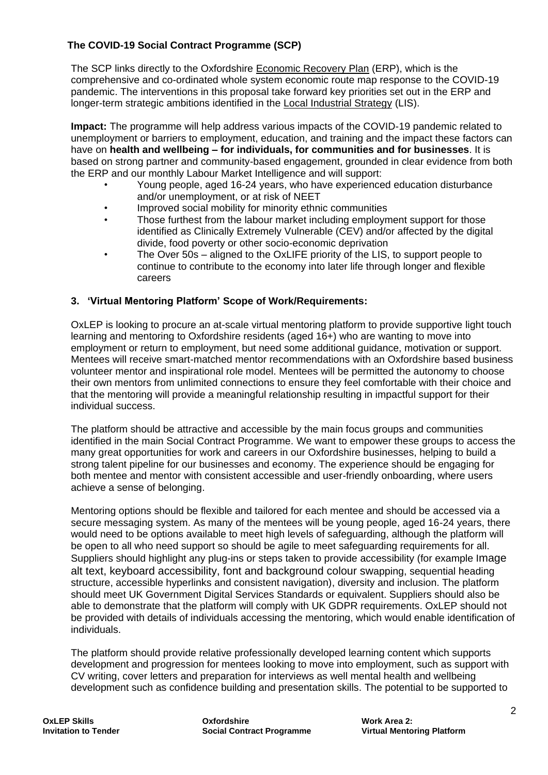# **The COVID-19 Social Contract Programme (SCP)**

The SCP links directly to the Oxfordshire [Economic Recovery Plan](https://www.oxfordshirelep.com/sites/default/files/uploads/Oxfordshire%20ERP%20Action%20Plan%20-%20FINAL%20%2826th%20February%202021%29_0.pdf) (ERP), which is the comprehensive and co-ordinated whole system economic route map response to the COVID-19 pandemic. The interventions in this proposal take forward key priorities set out in the ERP and longer-term strategic ambitions identified in the [Local Industrial Strategy](https://www.oxfordshirelep.com/sites/default/files/uploads/Oxfordshire%20Local%20Industrial%20Strategy_0.pdf) (LIS).

**Impact:** The programme will help address various impacts of the COVID-19 pandemic related to unemployment or barriers to employment, education, and training and the impact these factors can have on **health and wellbeing – for individuals, for communities and for businesses**. It is based on strong partner and community-based engagement, grounded in clear evidence from both the ERP and our monthly Labour Market Intelligence and will support:

- Young people, aged 16-24 years, who have experienced education disturbance and/or unemployment, or at risk of NEET
- Improved social mobility for minority ethnic communities
- Those furthest from the labour market including employment support for those identified as Clinically Extremely Vulnerable (CEV) and/or affected by the digital divide, food poverty or other socio-economic deprivation
- The Over 50s aligned to the OxLIFE priority of the LIS, to support people to continue to contribute to the economy into later life through longer and flexible careers

# **3. 'Virtual Mentoring Platform' Scope of Work/Requirements:**

OxLEP is looking to procure an at-scale virtual mentoring platform to provide supportive light touch learning and mentoring to Oxfordshire residents (aged 16+) who are wanting to move into employment or return to employment, but need some additional guidance, motivation or support. Mentees will receive smart-matched mentor recommendations with an Oxfordshire based business volunteer mentor and inspirational role model. Mentees will be permitted the autonomy to choose their own mentors from unlimited connections to ensure they feel comfortable with their choice and that the mentoring will provide a meaningful relationship resulting in impactful support for their individual success.

The platform should be attractive and accessible by the main focus groups and communities identified in the main Social Contract Programme. We want to empower these groups to access the many great opportunities for work and careers in our Oxfordshire businesses, helping to build a strong talent pipeline for our businesses and economy. The experience should be engaging for both mentee and mentor with consistent accessible and user-friendly onboarding, where users achieve a sense of belonging.

Mentoring options should be flexible and tailored for each mentee and should be accessed via a secure messaging system. As many of the mentees will be young people, aged 16-24 years, there would need to be options available to meet high levels of safeguarding, although the platform will be open to all who need support so should be agile to meet safeguarding requirements for all. Suppliers should highlight any plug-ins or steps taken to provide accessibility (for example Image alt text, keyboard accessibility, font and background colour swapping, sequential heading structure, accessible hyperlinks and consistent navigation), diversity and inclusion. The platform should meet UK Government Digital Services Standards or equivalent. Suppliers should also be able to demonstrate that the platform will comply with UK GDPR requirements. OxLEP should not be provided with details of individuals accessing the mentoring, which would enable identification of individuals.

The platform should provide relative professionally developed learning content which supports development and progression for mentees looking to move into employment, such as support with CV writing, cover letters and preparation for interviews as well mental health and wellbeing development such as confidence building and presentation skills. The potential to be supported to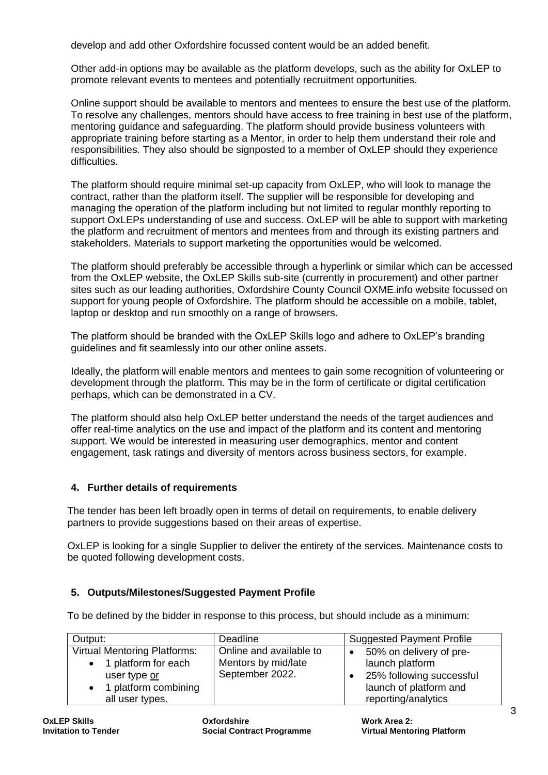develop and add other Oxfordshire focussed content would be an added benefit.

Other add-in options may be available as the platform develops, such as the ability for OxLEP to promote relevant events to mentees and potentially recruitment opportunities.

Online support should be available to mentors and mentees to ensure the best use of the platform. To resolve any challenges, mentors should have access to free training in best use of the platform, mentoring guidance and safeguarding. The platform should provide business volunteers with appropriate training before starting as a Mentor, in order to help them understand their role and responsibilities. They also should be signposted to a member of OxLEP should they experience difficulties.

The platform should require minimal set-up capacity from OxLEP, who will look to manage the contract, rather than the platform itself. The supplier will be responsible for developing and managing the operation of the platform including but not limited to regular monthly reporting to support OxLEPs understanding of use and success. OxLEP will be able to support with marketing the platform and recruitment of mentors and mentees from and through its existing partners and stakeholders. Materials to support marketing the opportunities would be welcomed.

The platform should preferably be accessible through a hyperlink or similar which can be accessed from the OxLEP website, the OxLEP Skills sub-site (currently in procurement) and other partner sites such as our leading authorities, Oxfordshire County Council OXME.info website focussed on support for young people of Oxfordshire. The platform should be accessible on a mobile, tablet, laptop or desktop and run smoothly on a range of browsers.

The platform should be branded with the OxLEP Skills logo and adhere to OxLEP's branding guidelines and fit seamlessly into our other online assets.

Ideally, the platform will enable mentors and mentees to gain some recognition of volunteering or development through the platform. This may be in the form of certificate or digital certification perhaps, which can be demonstrated in a CV.

The platform should also help OxLEP better understand the needs of the target audiences and offer real-time analytics on the use and impact of the platform and its content and mentoring support. We would be interested in measuring user demographics, mentor and content engagement, task ratings and diversity of mentors across business sectors, for example.

# **4. Further details of requirements**

The tender has been left broadly open in terms of detail on requirements, to enable delivery partners to provide suggestions based on their areas of expertise.

OxLEP is looking for a single Supplier to deliver the entirety of the services. Maintenance costs to be quoted following development costs.

# **5. Outputs/Milestones/Suggested Payment Profile**

To be defined by the bidder in response to this process, but should include as a minimum:

| Output:                                                                                                               | Deadline                                                          | <b>Suggested Payment Profile</b>                                                                                        |
|-----------------------------------------------------------------------------------------------------------------------|-------------------------------------------------------------------|-------------------------------------------------------------------------------------------------------------------------|
| <b>Virtual Mentoring Platforms:</b><br>1 platform for each<br>user type or<br>1 platform combining<br>all user types. | Online and available to<br>Mentors by mid/late<br>September 2022. | 50% on delivery of pre-<br>launch platform<br>25% following successful<br>launch of platform and<br>reporting/analytics |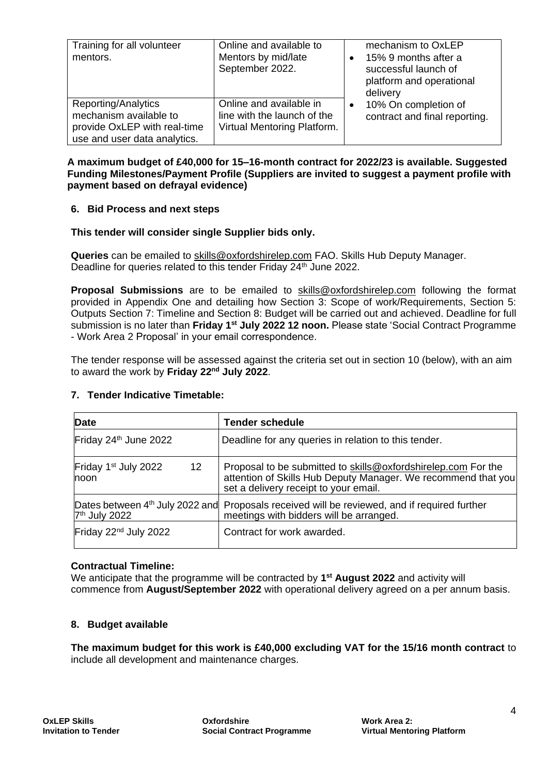| Training for all volunteer<br>mentors.                                                                        | Online and available to<br>Mentors by mid/late<br>September 2022.                     | mechanism to OxLEP<br>15% 9 months after a<br>$\bullet$<br>successful launch of<br>platform and operational<br>delivery |
|---------------------------------------------------------------------------------------------------------------|---------------------------------------------------------------------------------------|-------------------------------------------------------------------------------------------------------------------------|
| Reporting/Analytics<br>mechanism available to<br>provide OxLEP with real-time<br>use and user data analytics. | Online and available in<br>line with the launch of the<br>Virtual Mentoring Platform. | 10% On completion of<br>$\bullet$<br>contract and final reporting.                                                      |

#### **A maximum budget of £40,000 for 15–16-month contract for 2022/23 is available. Suggested Funding Milestones/Payment Profile (Suppliers are invited to suggest a payment profile with payment based on defrayal evidence)**

#### **6. Bid Process and next steps**

#### **This tender will consider single Supplier bids only.**

**Queries** can be emailed to [skills@oxfordshirelep.com](mailto:skills@oxfordshirelep.com?subject=Social%20Contract%20Programme%20-%20Work%20Area%202%20-%20Virtual%20Mentoring%20Platform) FAO. Skills Hub Deputy Manager. Deadline for queries related to this tender Friday 24<sup>th</sup> June 2022.

**Proposal Submissions** are to be emailed to [skills@oxfordshirelep.com](mailto:skills@oxfordshirelep.com?subject=Social%20Contract%20Programme%20-%20Work%20Area%202%20Proposal) following the format provided in Appendix One and detailing how Section 3: Scope of work/Requirements, Section 5: Outputs Section 7: Timeline and Section 8: Budget will be carried out and achieved. Deadline for full submission is no later than **Friday 1st July 2022 12 noon.** Please state 'Social Contract Programme - Work Area 2 Proposal' in your email correspondence.

The tender response will be assessed against the criteria set out in section 10 (below), with an aim to award the work by **Friday 22nd July 2022**.

| <b>Date</b>                                         | <b>Tender schedule</b>                                                                                                                                                  |
|-----------------------------------------------------|-------------------------------------------------------------------------------------------------------------------------------------------------------------------------|
| Friday 24 <sup>th</sup> June 2022                   | Deadline for any queries in relation to this tender.                                                                                                                    |
| $12 \,$<br>Friday 1 <sup>st</sup> July 2022<br>noon | Proposal to be submitted to skills@oxfordshirelep.com For the<br>attention of Skills Hub Deputy Manager. We recommend that you<br>set a delivery receipt to your email. |
| 7 <sup>th</sup> July 2022                           | Dates between 4 <sup>th</sup> July 2022 and Proposals received will be reviewed, and if required further<br>meetings with bidders will be arranged.                     |
| Friday 22 <sup>nd</sup> July 2022                   | Contract for work awarded.                                                                                                                                              |

#### **7. Tender Indicative Timetable:**

#### **Contractual Timeline:**

We anticipate that the programme will be contracted by **1 st August 2022** and activity will commence from **August/September 2022** with operational delivery agreed on a per annum basis.

#### **8. Budget available**

**The maximum budget for this work is £40,000 excluding VAT for the 15/16 month contract** to include all development and maintenance charges.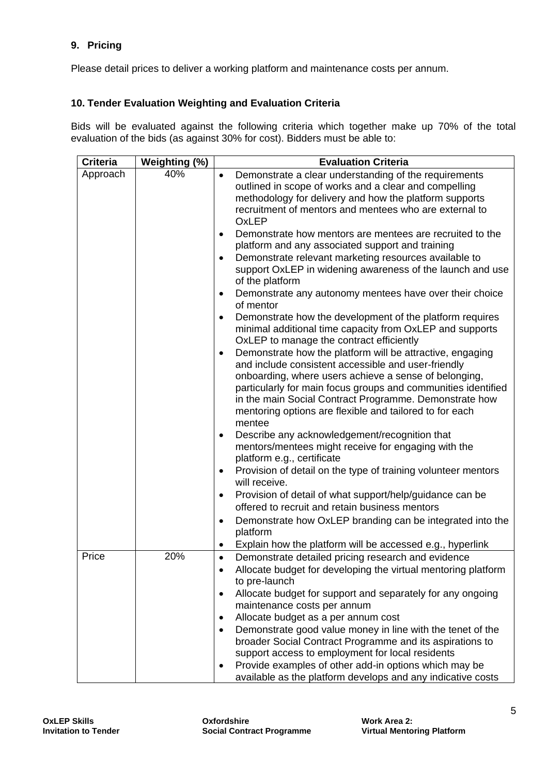# **9. Pricing**

Please detail prices to deliver a working platform and maintenance costs per annum.

#### **10. Tender Evaluation Weighting and Evaluation Criteria**

Bids will be evaluated against the following criteria which together make up 70% of the total evaluation of the bids (as against 30% for cost). Bidders must be able to:

| <b>Criteria</b> | Weighting (%) | <b>Evaluation Criteria</b>                                                                                                                                                                                                                                                                                                                                                                                                                                                                                                                                                                                                                                                                                                                                                                                                                                                                                                                                                                                                                                                                                                                                                                                                                                                                                                                                                                                                                                                                                                                                                                                                                  |  |
|-----------------|---------------|---------------------------------------------------------------------------------------------------------------------------------------------------------------------------------------------------------------------------------------------------------------------------------------------------------------------------------------------------------------------------------------------------------------------------------------------------------------------------------------------------------------------------------------------------------------------------------------------------------------------------------------------------------------------------------------------------------------------------------------------------------------------------------------------------------------------------------------------------------------------------------------------------------------------------------------------------------------------------------------------------------------------------------------------------------------------------------------------------------------------------------------------------------------------------------------------------------------------------------------------------------------------------------------------------------------------------------------------------------------------------------------------------------------------------------------------------------------------------------------------------------------------------------------------------------------------------------------------------------------------------------------------|--|
| Approach        | 40%           | Demonstrate a clear understanding of the requirements<br>$\bullet$<br>outlined in scope of works and a clear and compelling<br>methodology for delivery and how the platform supports<br>recruitment of mentors and mentees who are external to<br><b>OxLEP</b><br>Demonstrate how mentors are mentees are recruited to the<br>$\bullet$<br>platform and any associated support and training<br>Demonstrate relevant marketing resources available to<br>support OxLEP in widening awareness of the launch and use<br>of the platform<br>Demonstrate any autonomy mentees have over their choice<br>٠<br>of mentor<br>Demonstrate how the development of the platform requires<br>$\bullet$<br>minimal additional time capacity from OxLEP and supports<br>OxLEP to manage the contract efficiently<br>Demonstrate how the platform will be attractive, engaging<br>$\bullet$<br>and include consistent accessible and user-friendly<br>onboarding, where users achieve a sense of belonging,<br>particularly for main focus groups and communities identified<br>in the main Social Contract Programme. Demonstrate how<br>mentoring options are flexible and tailored to for each<br>mentee<br>Describe any acknowledgement/recognition that<br>mentors/mentees might receive for engaging with the<br>platform e.g., certificate<br>Provision of detail on the type of training volunteer mentors<br>$\bullet$<br>will receive.<br>Provision of detail of what support/help/guidance can be<br>٠<br>offered to recruit and retain business mentors<br>Demonstrate how OxLEP branding can be integrated into the<br>$\bullet$<br>platform |  |
|                 |               | Explain how the platform will be accessed e.g., hyperlink<br>٠                                                                                                                                                                                                                                                                                                                                                                                                                                                                                                                                                                                                                                                                                                                                                                                                                                                                                                                                                                                                                                                                                                                                                                                                                                                                                                                                                                                                                                                                                                                                                                              |  |
| Price           | 20%           | Demonstrate detailed pricing research and evidence<br>$\bullet$<br>Allocate budget for developing the virtual mentoring platform<br>$\bullet$<br>to pre-launch<br>Allocate budget for support and separately for any ongoing<br>$\bullet$<br>maintenance costs per annum<br>Allocate budget as a per annum cost<br>٠<br>Demonstrate good value money in line with the tenet of the<br>$\bullet$<br>broader Social Contract Programme and its aspirations to<br>support access to employment for local residents<br>Provide examples of other add-in options which may be<br>٠<br>available as the platform develops and any indicative costs                                                                                                                                                                                                                                                                                                                                                                                                                                                                                                                                                                                                                                                                                                                                                                                                                                                                                                                                                                                                |  |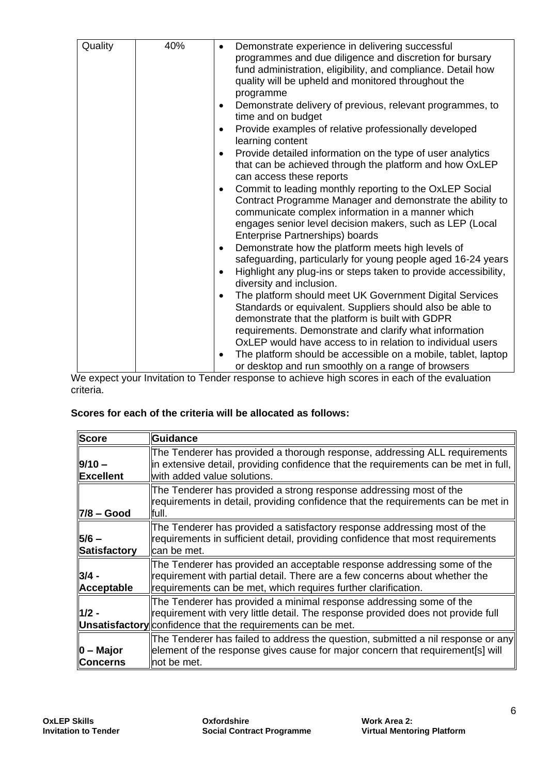| 40%<br>Demonstrate experience in delivering successful<br>programmes and due diligence and discretion for bursary<br>fund administration, eligibility, and compliance. Detail how<br>quality will be upheld and monitored throughout the<br>programme<br>Demonstrate delivery of previous, relevant programmes, to<br>٠<br>time and on budget<br>Provide examples of relative professionally developed<br>$\bullet$<br>learning content<br>Provide detailed information on the type of user analytics<br>٠<br>that can be achieved through the platform and how OxLEP<br>can access these reports<br>Commit to leading monthly reporting to the OxLEP Social<br>٠<br>Contract Programme Manager and demonstrate the ability to<br>communicate complex information in a manner which<br>engages senior level decision makers, such as LEP (Local<br>Enterprise Partnerships) boards<br>Demonstrate how the platform meets high levels of<br>٠<br>safeguarding, particularly for young people aged 16-24 years<br>Highlight any plug-ins or steps taken to provide accessibility,<br>٠<br>diversity and inclusion.<br>The platform should meet UK Government Digital Services<br>$\bullet$<br>Standards or equivalent. Suppliers should also be able to<br>demonstrate that the platform is built with GDPR<br>requirements. Demonstrate and clarify what information<br>OxLEP would have access to in relation to individual users<br>The platform should be accessible on a mobile, tablet, laptop<br>or desktop and run smoothly on a range of browsers |         |  |
|----------------------------------------------------------------------------------------------------------------------------------------------------------------------------------------------------------------------------------------------------------------------------------------------------------------------------------------------------------------------------------------------------------------------------------------------------------------------------------------------------------------------------------------------------------------------------------------------------------------------------------------------------------------------------------------------------------------------------------------------------------------------------------------------------------------------------------------------------------------------------------------------------------------------------------------------------------------------------------------------------------------------------------------------------------------------------------------------------------------------------------------------------------------------------------------------------------------------------------------------------------------------------------------------------------------------------------------------------------------------------------------------------------------------------------------------------------------------------------------------------------------------------------------------------------|---------|--|
|                                                                                                                                                                                                                                                                                                                                                                                                                                                                                                                                                                                                                                                                                                                                                                                                                                                                                                                                                                                                                                                                                                                                                                                                                                                                                                                                                                                                                                                                                                                                                          | Quality |  |

We expect your Invitation to Tender response to achieve high scores in each of the evaluation criteria.

#### **Scores for each of the criteria will be allocated as follows:**

| <b>Score</b>                      | <b>Guidance</b>                                                                                                                                                                                                               |
|-----------------------------------|-------------------------------------------------------------------------------------------------------------------------------------------------------------------------------------------------------------------------------|
| $9/10 -$<br>Excellent             | The Tenderer has provided a thorough response, addressing ALL requirements<br>lin extensive detail, providing confidence that the requirements can be met in full,<br>with added value solutions.                             |
| 7/8 – Good                        | The Tenderer has provided a strong response addressing most of the<br>requirements in detail, providing confidence that the requirements can be met in<br>lfull.                                                              |
| $5/6 -$<br><b>Satisfactory</b>    | The Tenderer has provided a satisfactory response addressing most of the<br>requirements in sufficient detail, providing confidence that most requirements<br>lcan be met.                                                    |
| $3/4 -$<br>Acceptable             | The Tenderer has provided an acceptable response addressing some of the<br>requirement with partial detail. There are a few concerns about whether the<br>requirements can be met, which requires further clarification.      |
| $1/2 -$                           | The Tenderer has provided a minimal response addressing some of the<br>requirement with very little detail. The response provided does not provide full<br><b>Unsatisfactory</b> confidence that the requirements can be met. |
| $\ 0 - M$ ajor<br><b>Concerns</b> | The Tenderer has failed to address the question, submitted a nil response or any<br>element of the response gives cause for major concern that requirement[s] will<br>lnot be met.                                            |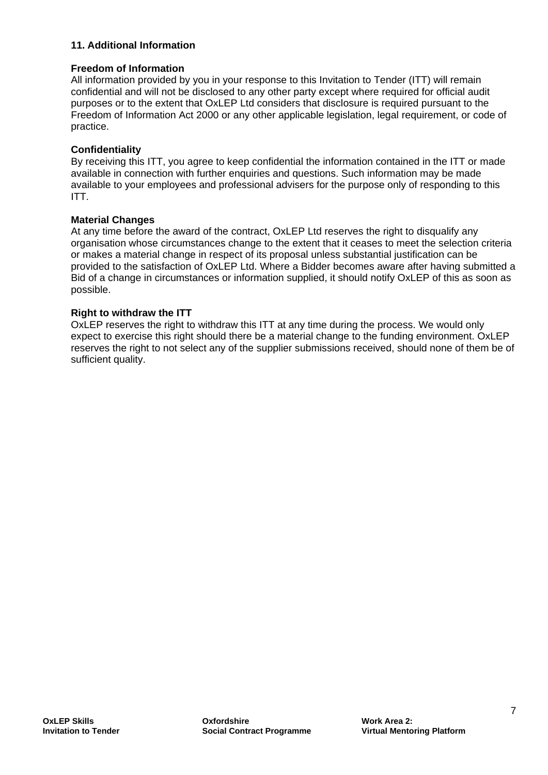#### **11. Additional Information**

#### **Freedom of Information**

All information provided by you in your response to this Invitation to Tender (ITT) will remain confidential and will not be disclosed to any other party except where required for official audit purposes or to the extent that OxLEP Ltd considers that disclosure is required pursuant to the Freedom of Information Act 2000 or any other applicable legislation, legal requirement, or code of practice.

#### **Confidentiality**

By receiving this ITT, you agree to keep confidential the information contained in the ITT or made available in connection with further enquiries and questions. Such information may be made available to your employees and professional advisers for the purpose only of responding to this ITT.

#### **Material Changes**

At any time before the award of the contract, OxLEP Ltd reserves the right to disqualify any organisation whose circumstances change to the extent that it ceases to meet the selection criteria or makes a material change in respect of its proposal unless substantial justification can be provided to the satisfaction of OxLEP Ltd. Where a Bidder becomes aware after having submitted a Bid of a change in circumstances or information supplied, it should notify OxLEP of this as soon as possible.

#### **Right to withdraw the ITT**

OxLEP reserves the right to withdraw this ITT at any time during the process. We would only expect to exercise this right should there be a material change to the funding environment. OxLEP reserves the right to not select any of the supplier submissions received, should none of them be of sufficient quality.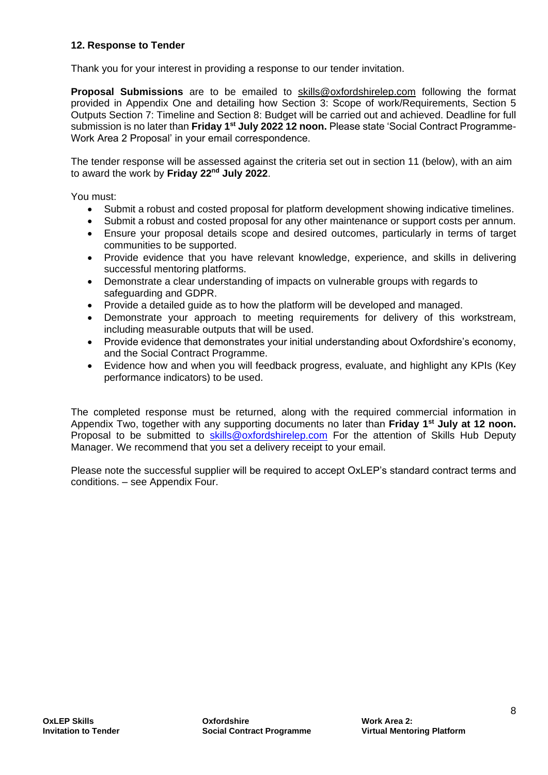#### **12. Response to Tender**

Thank you for your interest in providing a response to our tender invitation.

**Proposal Submissions** are to be emailed to [skills@oxfordshirelep.com](mailto:skills@oxfordshirelep.com?subject=Social%20Contract%20Programme%20-%20Work%20Area%202%20Proposal) following the format provided in Appendix One and detailing how Section 3: Scope of work/Requirements, Section 5 Outputs Section 7: Timeline and Section 8: Budget will be carried out and achieved. Deadline for full submission is no later than **Friday 1st July 2022 12 noon.** Please state 'Social Contract Programme-Work Area 2 Proposal' in your email correspondence.

The tender response will be assessed against the criteria set out in section 11 (below), with an aim to award the work by **Friday 22nd July 2022**.

You must:

- Submit a robust and costed proposal for platform development showing indicative timelines.
- Submit a robust and costed proposal for any other maintenance or support costs per annum.
- Ensure your proposal details scope and desired outcomes, particularly in terms of target communities to be supported.
- Provide evidence that you have relevant knowledge, experience, and skills in delivering successful mentoring platforms.
- Demonstrate a clear understanding of impacts on vulnerable groups with regards to safeguarding and GDPR.
- Provide a detailed guide as to how the platform will be developed and managed.
- Demonstrate your approach to meeting requirements for delivery of this workstream, including measurable outputs that will be used.
- Provide evidence that demonstrates your initial understanding about Oxfordshire's economy, and the Social Contract Programme.
- Evidence how and when you will feedback progress, evaluate, and highlight any KPIs (Key performance indicators) to be used.

The completed response must be returned, along with the required commercial information in Appendix Two, together with any supporting documents no later than **Friday 1st July at 12 noon.** Proposal to be submitted to [skills@oxfordshirelep.com](mailto:skills@oxfordshirelep.com) For the attention of Skills Hub Deputy Manager. We recommend that you set a delivery receipt to your email.

Please note the successful supplier will be required to accept OxLEP's standard contract terms and conditions. – see Appendix Four.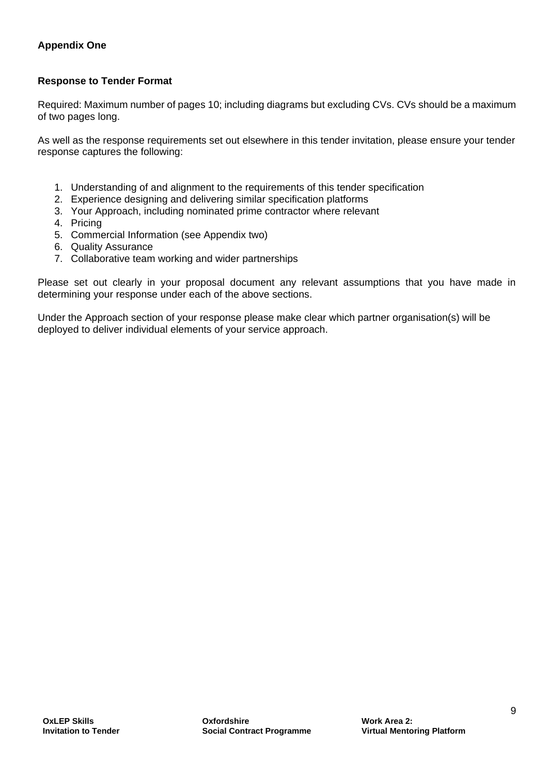# **Appendix One**

#### **Response to Tender Format**

Required: Maximum number of pages 10; including diagrams but excluding CVs. CVs should be a maximum of two pages long.

As well as the response requirements set out elsewhere in this tender invitation, please ensure your tender response captures the following:

- 1. Understanding of and alignment to the requirements of this tender specification
- 2. Experience designing and delivering similar specification platforms
- 3. Your Approach, including nominated prime contractor where relevant
- 4. Pricing
- 5. Commercial Information (see Appendix two)
- 6. Quality Assurance
- 7. Collaborative team working and wider partnerships

Please set out clearly in your proposal document any relevant assumptions that you have made in determining your response under each of the above sections.

Under the Approach section of your response please make clear which partner organisation(s) will be deployed to deliver individual elements of your service approach.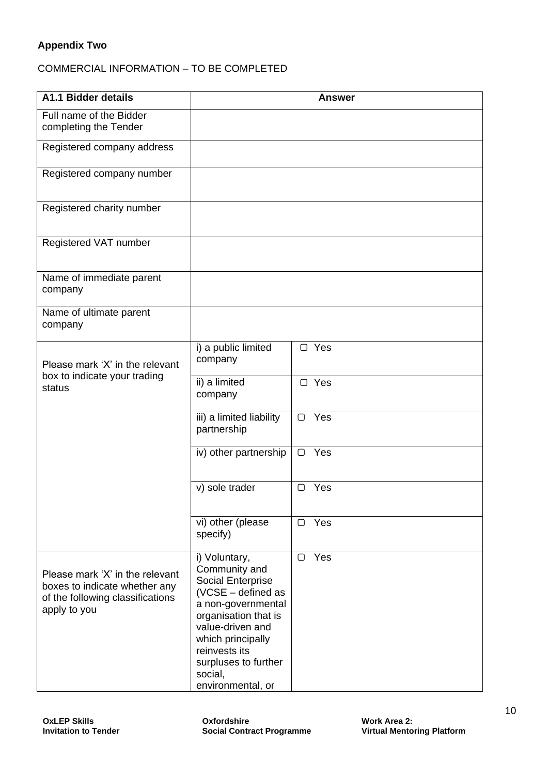# **Appendix Two**

# COMMERCIAL INFORMATION – TO BE COMPLETED

| A1.1 Bidder details                                                                                                  |                                                                                                                                                                                                                                                  | <b>Answer</b> |
|----------------------------------------------------------------------------------------------------------------------|--------------------------------------------------------------------------------------------------------------------------------------------------------------------------------------------------------------------------------------------------|---------------|
| Full name of the Bidder<br>completing the Tender                                                                     |                                                                                                                                                                                                                                                  |               |
| Registered company address                                                                                           |                                                                                                                                                                                                                                                  |               |
| Registered company number                                                                                            |                                                                                                                                                                                                                                                  |               |
| Registered charity number                                                                                            |                                                                                                                                                                                                                                                  |               |
| Registered VAT number                                                                                                |                                                                                                                                                                                                                                                  |               |
| Name of immediate parent<br>company                                                                                  |                                                                                                                                                                                                                                                  |               |
| Name of ultimate parent<br>company                                                                                   |                                                                                                                                                                                                                                                  |               |
| Please mark 'X' in the relevant                                                                                      | i) a public limited<br>company                                                                                                                                                                                                                   | □ Yes         |
| box to indicate your trading<br>status                                                                               | ii) a limited<br>company                                                                                                                                                                                                                         | $\Box$ Yes    |
|                                                                                                                      | iii) a limited liability<br>partnership                                                                                                                                                                                                          | Yes<br>∩      |
|                                                                                                                      | iv) other partnership                                                                                                                                                                                                                            | Yes<br>$\Box$ |
|                                                                                                                      | v) sole trader                                                                                                                                                                                                                                   | Yes<br>□      |
|                                                                                                                      | vi) other (please<br>specify)                                                                                                                                                                                                                    | Yes<br>$\Box$ |
| Please mark 'X' in the relevant<br>boxes to indicate whether any<br>of the following classifications<br>apply to you | i) Voluntary,<br>Community and<br><b>Social Enterprise</b><br>(VCSE - defined as<br>a non-governmental<br>organisation that is<br>value-driven and<br>which principally<br>reinvests its<br>surpluses to further<br>social,<br>environmental, or | Yes<br>$\Box$ |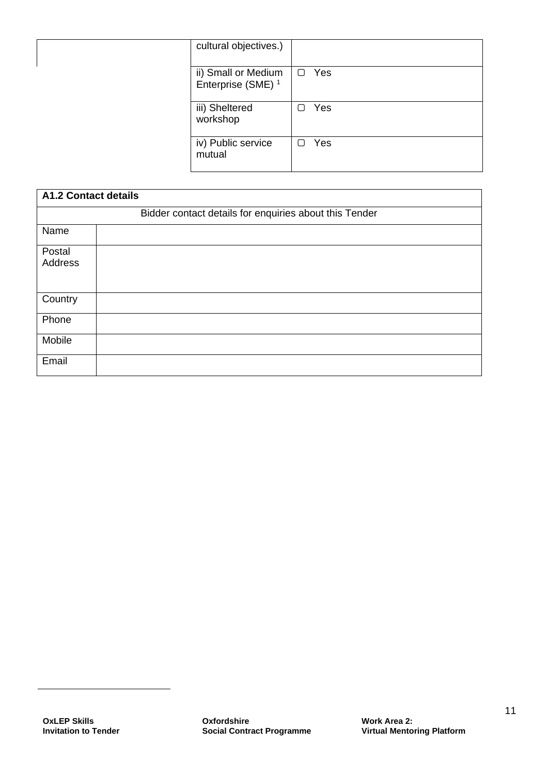| cultural objectives.)                                |               |
|------------------------------------------------------|---------------|
| ii) Small or Medium<br>Enterprise (SME) <sup>1</sup> | Yes<br>$\Box$ |
| iii) Sheltered<br>workshop                           | Yes<br>∩      |
| iv) Public service<br>mutual                         | Yes           |

| <b>A1.2 Contact details</b> |                                                        |  |
|-----------------------------|--------------------------------------------------------|--|
|                             | Bidder contact details for enquiries about this Tender |  |
| Name                        |                                                        |  |
| Postal                      |                                                        |  |
| Address                     |                                                        |  |
| Country                     |                                                        |  |
| Phone                       |                                                        |  |
| Mobile                      |                                                        |  |
| Email                       |                                                        |  |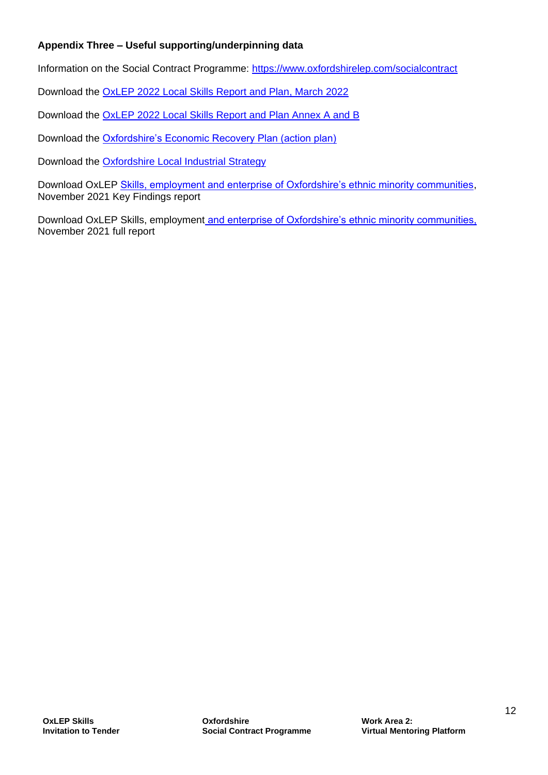# **Appendix Three – Useful supporting/underpinning data**

Information on the Social Contract Programme:<https://www.oxfordshirelep.com/socialcontract>

Download the [OxLEP 2022 Local Skills Report and Plan, March 2022](https://www.oxfordshirelep.com/sites/default/files/uploads/8724%20Local%20Skills%20Report%20%26%20Plan%20v2%20final.pdf)

Download the [OxLEP 2022 Local Skills Report and Plan Annex A and B](https://www.oxfordshirelep.com/sites/default/files/uploads/OxLEPLocalSkillsPlanAnnexAB2022.pdf)

Download the [Oxfordshire's Economic Recovery Plan \(action plan\)](https://www.oxfordshirelep.com/sites/default/files/uploads/Oxfordshire%20ERP%20Action%20Plan%20-%20FINAL%20%2826th%20February%202021%29_0.pdf)

Download the [Oxfordshire Local Industrial Strategy](https://www.oxfordshirelep.com/sites/default/files/uploads/Oxfordshire%20Local%20Industrial%20Strategy_0.pdf)

Download OxLEP [Skills, employment and enterprise of Oxfordshire's ethnic minority communities,](https://www.oxfordshirelep.com/sites/default/files/uploads/EthnicityEmpSkillsSUMMARY.pdf) November 2021 Key Findings report

Download OxLEP Skills, employment [and enterprise of Oxfordshire's ethnic minority communities,](https://www.oxfordshirelep.com/sites/default/files/uploads/EthnicityEmpSkillsFULL.pdf) November 2021 full report